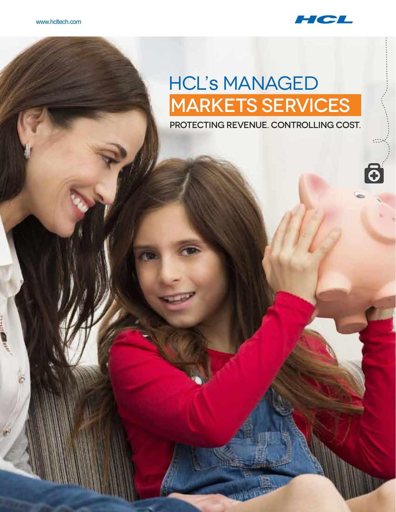

# **HCL'S MANAGED** Markets Services

Protecting Revenue. Controlling Cost.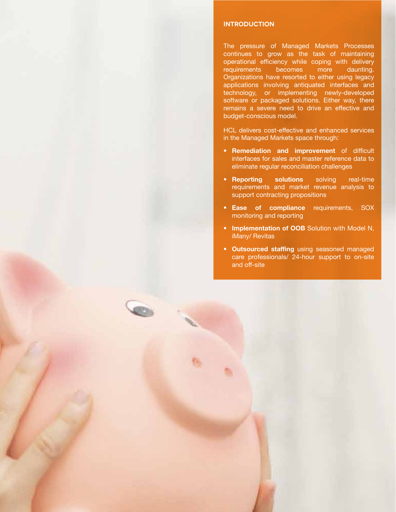#### **Introduction**

The pressure of Managed Markets Processes continues to grow as the task of maintaining operational efficiency while coping with delivery requirements becomes more daunting. Organizations have resorted to either using legacy applications involving antiquated interfaces and technology, or implementing newly-developed software or packaged solutions. Either way, there remains a severe need to drive an effective and budget-conscious model.

HCL delivers cost-effective and enhanced services in the Managed Markets space through:

- **Remediation and improvement** of difficult interfaces for sales and master reference data to eliminate regular reconciliation challenges
- **Reporting solutions** solving real-time requirements and market revenue analysis to support contracting propositions
- **Ease of compliance** requirements, SOX monitoring and reporting
- **Implementation of OOB** Solution with Model N, iMany/ Revitas
- **Outsourced staffing** using seasoned managed care professionals/ 24-hour support to on-site and off-site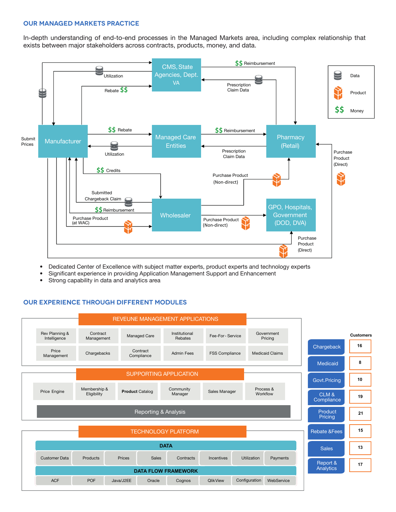# **Our Managed Markets Practice**

In-depth understanding of end-to-end processes in the Managed Markets area, including complex relationship that exists between major stakeholders across contracts, products, money, and data.



- Dedicated Center of Excellence with subject matter experts, product experts and technology experts
- Significant experience in providing Application Management Support and Enhancement
- Strong capability in data and analytics area

# **Our Experience Through Different Modules**